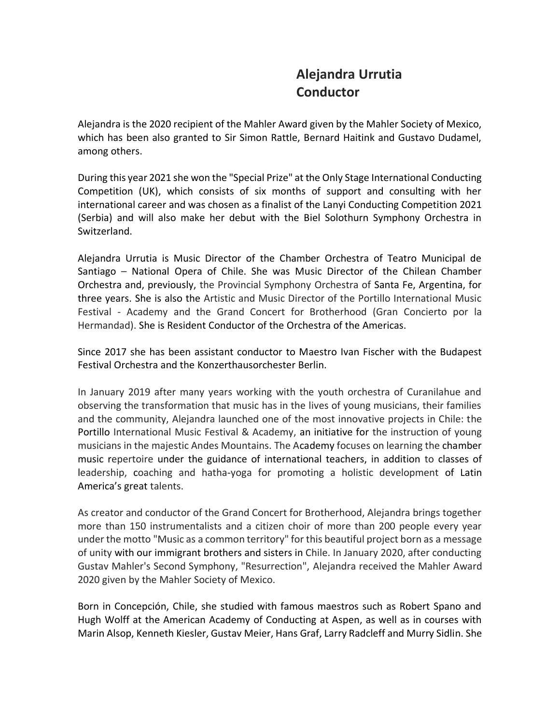## **Alejandra Urrutia Conductor**

Alejandra is the 2020 recipient of the Mahler Award given by the Mahler Society of Mexico, which has been also granted to Sir Simon Rattle, Bernard Haitink and Gustavo Dudamel, among others.

During this year 2021 she won the "Special Prize" at the Only Stage International Conducting Competition (UK), which consists of six months of support and consulting with her international career and was chosen as a finalist of the Lanyi Conducting Competition 2021 (Serbia) and will also make her debut with the Biel Solothurn Symphony Orchestra in Switzerland.

Alejandra Urrutia is Music Director of the Chamber Orchestra of Teatro Municipal de Santiago – National Opera of Chile. She was Music Director of the Chilean Chamber Orchestra and, previously, the Provincial Symphony Orchestra of Santa Fe, Argentina, for three years. She is also the Artistic and Music Director of the Portillo International Music Festival - Academy and the Grand Concert for Brotherhood (Gran Concierto por la Hermandad). She is Resident Conductor of the Orchestra of the Americas.

Since 2017 she has been assistant conductor to Maestro Ivan Fischer with the Budapest Festival Orchestra and the [Konzerthausorchester](https://es.wikipedia.org/wiki/Konzerthausorchester_Berlin) Berlin.

In January 2019 after many years working with the youth orchestra of Curanilahue and observing the transformation that music has in the lives of young musicians, their families and the community, Alejandra launched one of the most innovative projects in Chile: the Portillo International Music Festival & Academy, an initiative for the instruction of young musicians in the majestic Andes Mountains. The Academy focuses on learning the chamber music repertoire under the guidance of international teachers, in addition to classes of leadership, coaching and hatha-yoga for promoting a holistic development of Latin America's great talents.

As creator and conductor of the Grand Concert for Brotherhood, Alejandra brings together more than 150 instrumentalists and a citizen choir of more than 200 people every year under the motto "Music as a common territory" for this beautiful project born as a message of unity with our immigrant brothers and sisters in Chile. In January 2020, after conducting Gustav Mahler's Second Symphony, "Resurrection", Alejandra received the Mahler Award 2020 given by the Mahler Society of Mexico.

Born in Concepción, Chile, she studied with famous maestros such as Robert Spano and Hugh Wolff at the American Academy of Conducting at Aspen, as well as in courses with Marin Alsop, Kenneth Kiesler, Gustav Meier, Hans Graf, Larry Radcleff and Murry Sidlin. She